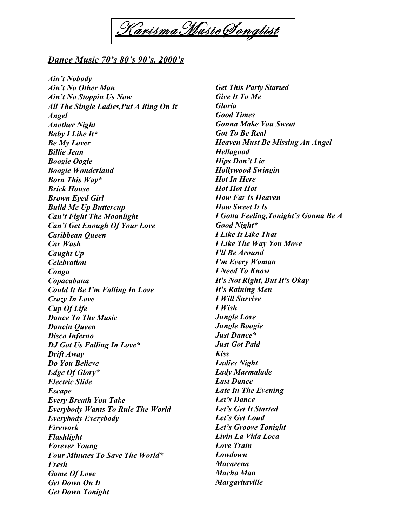

## *Dance Music 70's 80's 90's, 2000's*

*Ain't Nobody Ain't No Other Man Ain't No Stoppin Us Now All The Single Ladies,Put A Ring On It Angel Another Night Baby I Like It\* Be My Lover Billie Jean Boogie Oogie Boogie Wonderland Born This Way\* Brick House Brown Eyed Girl Build Me Up Buttercup Can't Fight The Moonlight Can't Get Enough Of Your Love Caribbean Queen Car Wash Caught Up Celebration Conga Copacabana Could It Be I'm Falling In Love Crazy In Love Cup Of Life Dance To The Music Dancin Queen Disco Inferno DJ Got Us Falling In Love\* Drift Away Do You Believe Edge Of Glory\* Electric Slide Escape Every Breath You Take Everybody Wants To Rule The World Everybody Everybody Firework Flashlight Forever Young Four Minutes To Save The World\* Fresh Game Of Love Get Down On It Get Down Tonight*

*Get This Party Started Give It To Me Gloria Good Times Gonna Make You Sweat Got To Be Real Heaven Must Be Missing An Angel Hellagood Hips Don't Lie Hollywood Swingin Hot In Here Hot Hot Hot How Far Is Heaven How Sweet It Is I Gotta Feeling,Tonight's Gonna Be A Good Night\* I Like It Like That I Like The Way You Move I'll Be Around I'm Every Woman I Need To Know It's Not Right, But It's Okay It's Raining Men I Will Survive I Wish Jungle Love Jungle Boogie Just Dance\* Just Got Paid Kiss Ladies Night Lady Marmalade Last Dance Late In The Evening Let's Dance Let's Get It Started Let's Get Loud Let's Groove Tonight Livin La Vida Loca Love Train Lowdown Macarena Macho Man Margaritaville*